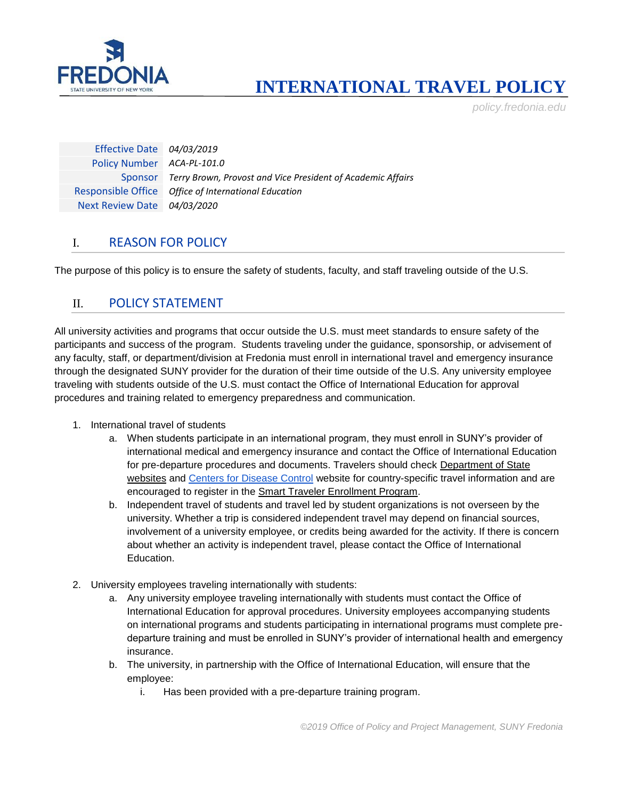

# **INTERNATIONAL TRAVEL POLICY**

*policy.fredonia.edu*

Effective Date *04/03/2019* Policy Number *ACA-PL-101.0* Sponsor *Terry Brown, Provost and Vice President of Academic Affairs* Responsible Office *Office of International Education* Next Review Date *04/03/2020*

### I. REASON FOR POLICY

The purpose of this policy is to ensure the safety of students, faculty, and staff traveling outside of the U.S.

#### II. POLICY STATEMENT

All university activities and programs that occur outside the U.S. must meet standards to ensure safety of the participants and success of the program. Students traveling under the guidance, sponsorship, or advisement of any faculty, staff, or department/division at Fredonia must enroll in international travel and emergency insurance through the designated SUNY provider for the duration of their time outside of the U.S. Any university employee traveling with students outside of the U.S. must contact the Office of International Education for approval procedures and training related to emergency preparedness and communication.

- 1. International travel of students
	- a. When students participate in an international program, they must enroll in SUNY's provider of international medical and emergency insurance and contact the Office of International Education for pre-departure procedures and documents. Travelers should check [Department of State](https://www.state.gov/travel/)  [websites](https://www.state.gov/travel/) and [Centers for Disease Control](https://www.cdc.gov/) website for country-specific travel information and are encouraged to register in the [Smart Traveler Enrollment Program.](https://step.state.gov/step/)
	- b. Independent travel of students and travel led by student organizations is not overseen by the university. Whether a trip is considered independent travel may depend on financial sources, involvement of a university employee, or credits being awarded for the activity. If there is concern about whether an activity is independent travel, please contact the Office of International Education.
- 2. University employees traveling internationally with students:
	- a. Any university employee traveling internationally with students must contact the Office of International Education for approval procedures. University employees accompanying students on international programs and students participating in international programs must complete predeparture training and must be enrolled in SUNY's provider of international health and emergency insurance.
	- b. The university, in partnership with the Office of International Education, will ensure that the employee:
		- i. Has been provided with a pre-departure training program.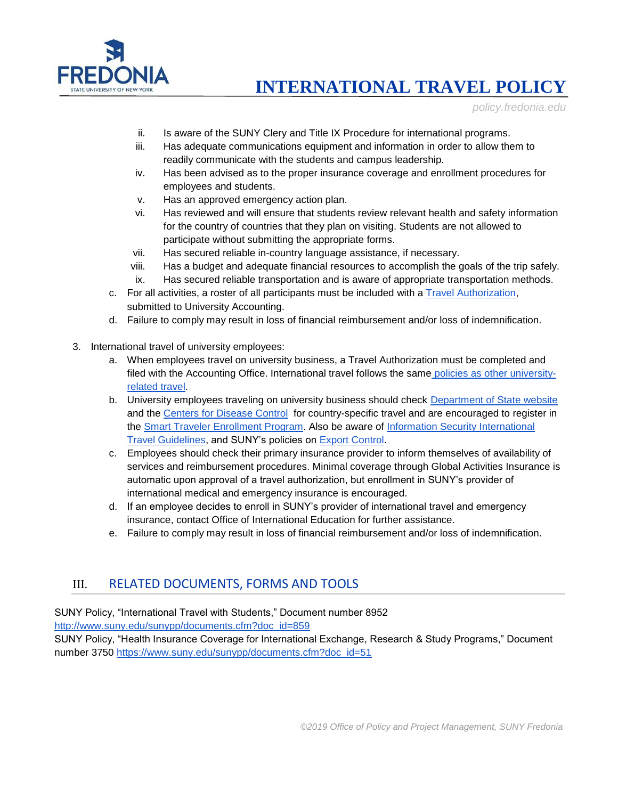

**INTERNATIONAL TRAVEL POLICY**

*policy.fredonia.edu*

- ii. Is aware of the SUNY Clery and Title IX Procedure for international programs.
- iii. Has adequate communications equipment and information in order to allow them to readily communicate with the students and campus leadership.
- iv. Has been advised as to the proper insurance coverage and enrollment procedures for employees and students.
- v. Has an approved emergency action plan.
- vi. Has reviewed and will ensure that students review relevant health and safety information for the country of countries that they plan on visiting. Students are not allowed to participate without submitting the appropriate forms.
- vii. Has secured reliable in-country language assistance, if necessary.
- viii. Has a budget and adequate financial resources to accomplish the goals of the trip safely. ix. Has secured reliable transportation and is aware of appropriate transportation methods.
- c. For all activities, a roster of all participants must be included with a [Travel Authorization,](http://fa.fredonia.edu/accounting/travelpolicy) submitted to University Accounting.
- d. Failure to comply may result in loss of financial reimbursement and/or loss of indemnification.
- 3. International travel of university employees:
	- a. When employees travel on university business, a Travel Authorization must be completed and filed with the Accounting Office. International travel follows the same [policies as other university](http://fa.fredonia.edu/accounting/travelpolicy)[related travel.](http://fa.fredonia.edu/accounting/travelpolicy)
	- b. University employees traveling on university business should check [Department of State website](https://www.state.gov/travel/) and the [Centers for Disease Control](https://www.cdc.gov/) for country-specific travel and are encouraged to register in the [Smart Traveler Enrollment Program.](https://step.state.gov/step/) Also be aware of Information Security International [Travel Guidelines,](https://answers.fredonia.edu/display/SC/Information+Security+International+Travel+Guidelines) and SUNY's policies on [Export Control.](http://system.suny.edu/compliance/topics/international/export-controls/)
	- c. Employees should check their primary insurance provider to inform themselves of availability of services and reimbursement procedures. Minimal coverage through Global Activities Insurance is automatic upon approval of a travel authorization, but enrollment in SUNY's provider of international medical and emergency insurance is encouraged.
	- d. If an employee decides to enroll in SUNY's provider of international travel and emergency insurance, contact Office of International Education for further assistance.
	- e. Failure to comply may result in loss of financial reimbursement and/or loss of indemnification.

#### III. RELATED DOCUMENTS, FORMS AND TOOLS

SUNY Policy, "International Travel with Students," Document number 8952

[http://www.suny.edu/sunypp/documents.cfm?doc\\_id=859](http://www.suny.edu/sunypp/documents.cfm?doc_id=859)

SUNY Policy, "Health Insurance Coverage for International Exchange, Research & Study Programs," Document number 3750 [https://www.suny.edu/sunypp/documents.cfm?doc\\_id=51](https://www.suny.edu/sunypp/documents.cfm?doc_id=51)